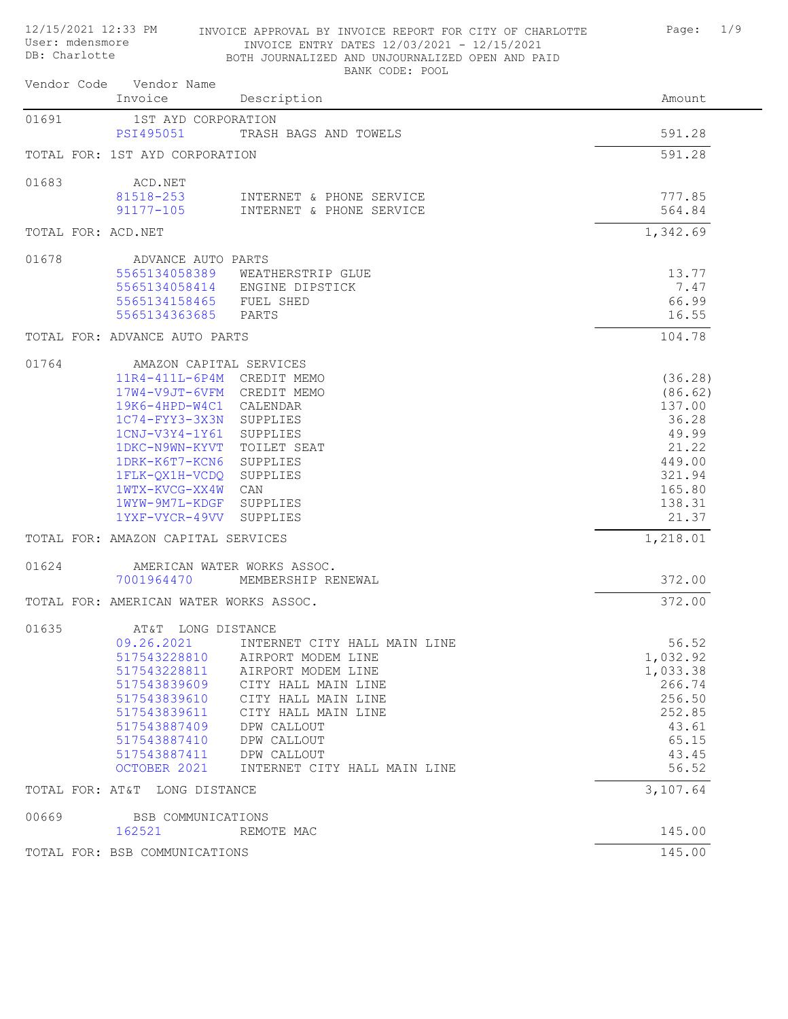| User: mdensmore<br>DB: Charlotte |                                        | INVOICE ENTRY DATES 12/03/2021 - 12/15/2021<br>BOTH JOURNALIZED AND UNJOURNALIZED OPEN AND PAID |                  |
|----------------------------------|----------------------------------------|-------------------------------------------------------------------------------------------------|------------------|
|                                  | Vendor Code Vendor Name<br>Invoice     | BANK CODE: POOL<br>Description                                                                  | Amount           |
| 01691                            | 1ST AYD CORPORATION                    |                                                                                                 |                  |
|                                  | PSI495051                              | TRASH BAGS AND TOWELS                                                                           | 591.28           |
|                                  | TOTAL FOR: 1ST AYD CORPORATION         |                                                                                                 | 591.28           |
|                                  |                                        |                                                                                                 |                  |
| 01683                            | ACD.NET                                |                                                                                                 |                  |
|                                  | 81518-253<br>$91177 - 105$             | INTERNET & PHONE SERVICE<br>INTERNET & PHONE SERVICE                                            | 777.85<br>564.84 |
|                                  |                                        |                                                                                                 |                  |
| TOTAL FOR: ACD.NET               |                                        |                                                                                                 | 1,342.69         |
| 01678                            | ADVANCE AUTO PARTS                     |                                                                                                 |                  |
|                                  |                                        | 5565134058389 WEATHERSTRIP GLUE                                                                 | 13.77            |
|                                  |                                        | 5565134058414 ENGINE DIPSTICK                                                                   | 7.47             |
|                                  | 5565134158465 FUEL SHED                |                                                                                                 | 66.99            |
|                                  | 5565134363685                          | PARTS                                                                                           | 16.55            |
|                                  | TOTAL FOR: ADVANCE AUTO PARTS          |                                                                                                 | 104.78           |
| 01764                            | AMAZON CAPITAL SERVICES                |                                                                                                 |                  |
|                                  | 11R4-411L-6P4M CREDIT MEMO             |                                                                                                 | (36.28)          |
|                                  | 17W4-V9JT-6VFM CREDIT MEMO             |                                                                                                 | (86.62)          |
|                                  | $19K6 - 4HPD-W4C1$                     | CALENDAR                                                                                        | 137.00           |
|                                  | $1C74-FYY3-3X3N$                       | SUPPLIES                                                                                        | 36.28            |
|                                  | 1CNJ-V3Y4-1Y61                         | SUPPLIES                                                                                        | 49.99            |
|                                  | 1DKC-N9WN-KYVT                         | TOILET SEAT                                                                                     | 21.22            |
|                                  | 1DRK-K6T7-KCN6                         | SUPPLIES                                                                                        | 449.00           |
|                                  | 1FLK-QX1H-VCDQ                         | SUPPLIES                                                                                        | 321.94           |
|                                  | 1WTX-KVCG-XX4W                         | CAN                                                                                             | 165.80           |
|                                  | 1WYW-9M7L-KDGF                         | SUPPLIES                                                                                        | 138.31           |
|                                  | 1YXF-VYCR-49VV                         | SUPPLIES                                                                                        | 21.37            |
|                                  | TOTAL FOR: AMAZON CAPITAL SERVICES     |                                                                                                 | 1,218.01         |
| 01624                            |                                        | AMERICAN WATER WORKS ASSOC.                                                                     |                  |
|                                  | 7001964470                             | MEMBERSHIP RENEWAL                                                                              | 372.00           |
|                                  | TOTAL FOR: AMERICAN WATER WORKS ASSOC. |                                                                                                 | 372.00           |
|                                  |                                        |                                                                                                 |                  |
| 01635                            | AT&T LONG DISTANCE                     |                                                                                                 |                  |
|                                  | 09.26.2021                             | INTERNET CITY HALL MAIN LINE                                                                    | 56.52            |
|                                  | 517543228810                           | AIRPORT MODEM LINE                                                                              | 1,032.92         |
|                                  | 517543228811                           | AIRPORT MODEM LINE                                                                              | 1,033.38         |
|                                  | 517543839609<br>517543839610           | CITY HALL MAIN LINE<br>CITY HALL MAIN LINE                                                      | 266.74<br>256.50 |
|                                  | 517543839611                           | CITY HALL MAIN LINE                                                                             | 252.85           |
|                                  | 517543887409                           | DPW CALLOUT                                                                                     | 43.61            |
|                                  | 517543887410                           | DPW CALLOUT                                                                                     | 65.15            |
|                                  | 517543887411                           | DPW CALLOUT                                                                                     | 43.45            |
|                                  | OCTOBER 2021                           | INTERNET CITY HALL MAIN LINE                                                                    | 56.52            |
|                                  | TOTAL FOR: AT&T LONG DISTANCE          |                                                                                                 | 3,107.64         |
| 00669                            |                                        |                                                                                                 |                  |
|                                  | BSB COMMUNICATIONS<br>162521           | REMOTE MAC                                                                                      | 145.00           |
|                                  | TOTAL FOR: BSB COMMUNICATIONS          |                                                                                                 | 145.00           |

12/15/2021 12:33 PM INVOICE APPROVAL BY INVOICE REPORT FOR CITY OF CHARLOTTE Page: 1/9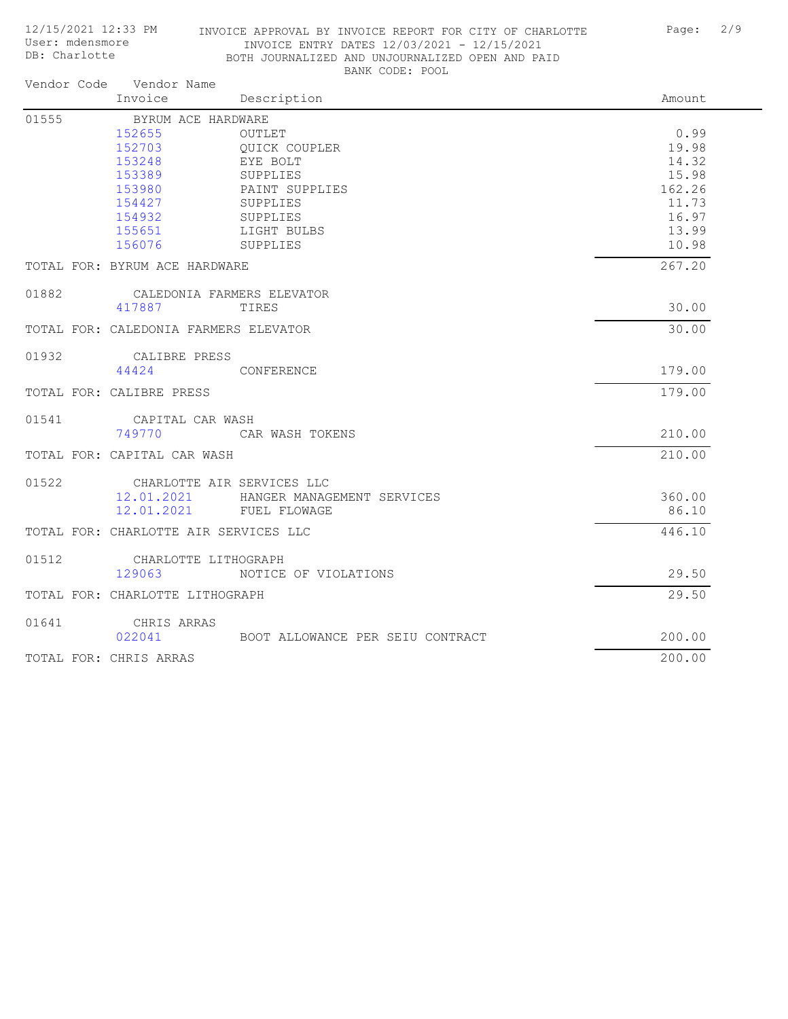## 12/15/2021 12:33 PM INVOICE APPROVAL BY INVOICE REPORT FOR CITY OF CHARLOTTE Page: 2/9 INVOICE ENTRY DATES 12/03/2021 - 12/15/2021 BOTH JOURNALIZED AND UNJOURNALIZED OPEN AND PAID BANK CODE: POOL

|       | Vendor Code Vendor Name<br>Invoice                                                                           | Description                                                                                                                 | Amount                                                                        |
|-------|--------------------------------------------------------------------------------------------------------------|-----------------------------------------------------------------------------------------------------------------------------|-------------------------------------------------------------------------------|
| 01555 | BYRUM ACE HARDWARE<br>152655<br>152703<br>153248<br>153389<br>153980<br>154427<br>154932<br>155651<br>156076 | OUTLET<br><b>OUICK COUPLER</b><br>EYE BOLT<br>SUPPLIES<br>PAINT SUPPLIES<br>SUPPLIES<br>SUPPLIES<br>LIGHT BULBS<br>SUPPLIES | 0.99<br>19.98<br>14.32<br>15.98<br>162.26<br>11.73<br>16.97<br>13.99<br>10.98 |
|       | TOTAL FOR: BYRUM ACE HARDWARE                                                                                |                                                                                                                             | 267.20                                                                        |
| 01882 | CALEDONIA FARMERS ELEVATOR<br>417887                                                                         | TIRES                                                                                                                       | 30.00                                                                         |
|       | TOTAL FOR: CALEDONIA FARMERS ELEVATOR                                                                        |                                                                                                                             | 30.00                                                                         |
| 01932 | CALIBRE PRESS<br>44424                                                                                       | CONFERENCE                                                                                                                  | 179.00                                                                        |
|       | TOTAL FOR: CALIBRE PRESS                                                                                     |                                                                                                                             | 179.00                                                                        |
| 01541 | CAPITAL CAR WASH<br>749770                                                                                   | CAR WASH TOKENS                                                                                                             | 210.00                                                                        |
|       | TOTAL FOR: CAPITAL CAR WASH                                                                                  |                                                                                                                             | 210.00                                                                        |
| 01522 | CHARLOTTE AIR SERVICES LLC<br>12.01.2021<br>12.01.2021                                                       | HANGER MANAGEMENT SERVICES<br>FUEL FLOWAGE                                                                                  | 360.00<br>86.10                                                               |
|       | TOTAL FOR: CHARLOTTE AIR SERVICES LLC                                                                        |                                                                                                                             | 446.10                                                                        |
| 01512 | CHARLOTTE LITHOGRAPH<br>129063                                                                               | NOTICE OF VIOLATIONS                                                                                                        | 29.50                                                                         |
|       | TOTAL FOR: CHARLOTTE LITHOGRAPH                                                                              |                                                                                                                             | 29.50                                                                         |
| 01641 | CHRIS ARRAS<br>022041                                                                                        | BOOT ALLOWANCE PER SEIU CONTRACT                                                                                            | 200.00                                                                        |
|       | TOTAL FOR: CHRIS ARRAS                                                                                       |                                                                                                                             | 200.00                                                                        |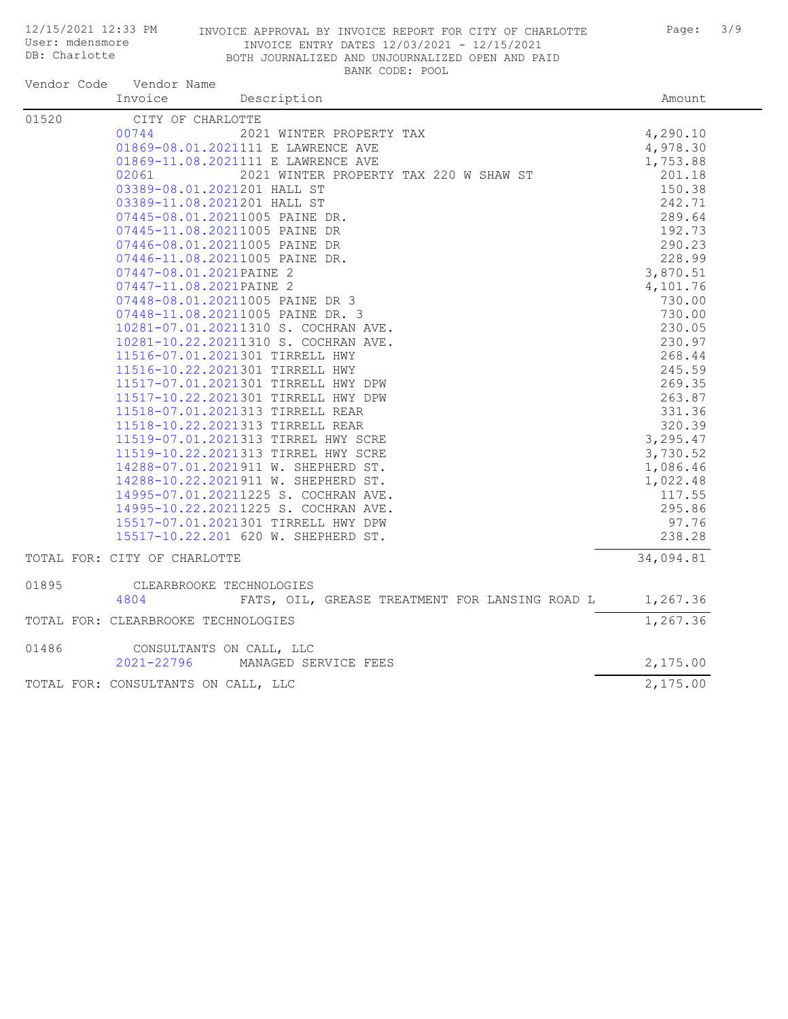User: mdensmore DB: Charlotte

## 12/15/2021 12:33 PM INVOICE APPROVAL BY INVOICE REPORT FOR CITY OF CHARLOTTE Page: 3/9 INVOICE ENTRY DATES 12/03/2021 - 12/15/2021 BOTH JOURNALIZED AND UNJOURNALIZED OPEN AND PAID BANK CODE: POOL

| Vendor Code | Vendor Name                                            |                                                                                                                                                                                                                                                                                                                                                          |
|-------------|--------------------------------------------------------|----------------------------------------------------------------------------------------------------------------------------------------------------------------------------------------------------------------------------------------------------------------------------------------------------------------------------------------------------------|
|             | Invoice<br>Description                                 |                                                                                                                                                                                                                                                                                                                                                          |
| 01520       | CITY OF CHARLOTTE                                      |                                                                                                                                                                                                                                                                                                                                                          |
|             | 2021 WINTER PROPERTY TAX<br>00744                      |                                                                                                                                                                                                                                                                                                                                                          |
|             | 01869-08.01.2021111 E LAWRENCE AVE                     |                                                                                                                                                                                                                                                                                                                                                          |
|             | 01869-11.08.2021111 E LAWRENCE AVE                     |                                                                                                                                                                                                                                                                                                                                                          |
|             | 2021 WINTER PROPERTY TAX 220 W SHAW ST<br>02061        |                                                                                                                                                                                                                                                                                                                                                          |
|             | 03389-08.01.2021201 HALL ST                            |                                                                                                                                                                                                                                                                                                                                                          |
|             | 03389-11.08.2021201 HALL ST                            |                                                                                                                                                                                                                                                                                                                                                          |
|             | 07445-08.01.20211005 PAINE DR.                         |                                                                                                                                                                                                                                                                                                                                                          |
|             | 07445-11.08.20211005 PAINE DR                          |                                                                                                                                                                                                                                                                                                                                                          |
|             | 07446-08.01.20211005 PAINE DR                          |                                                                                                                                                                                                                                                                                                                                                          |
|             | 07446-11.08.20211005 PAINE DR.                         |                                                                                                                                                                                                                                                                                                                                                          |
|             | 07447-08.01.2021PAINE 2                                |                                                                                                                                                                                                                                                                                                                                                          |
|             | 07447-11.08.2021PAINE 2                                |                                                                                                                                                                                                                                                                                                                                                          |
|             | 07448-08.01.20211005 PAINE DR 3                        |                                                                                                                                                                                                                                                                                                                                                          |
|             | 07448-11.08.20211005 PAINE DR. 3                       | 730.00                                                                                                                                                                                                                                                                                                                                                   |
|             | 10281-07.01.20211310 S. COCHRAN AVE.                   | 230.05                                                                                                                                                                                                                                                                                                                                                   |
|             | 10281-10.22.20211310 S. COCHRAN AVE.                   | 230.97                                                                                                                                                                                                                                                                                                                                                   |
|             | 11516-07.01.2021301 TIRRELL HWY                        | 268.44                                                                                                                                                                                                                                                                                                                                                   |
|             | 11516-10.22.2021301 TIRRELL HWY                        | Amount<br>4,290.10<br>4,978.30<br>1,753.88<br>201.18<br>150.38<br>242.71<br>289.64<br>192.73<br>290.23<br>228.99<br>3,870.51<br>4,101.76<br>730.00<br>245.59<br>269.35<br>263.87<br>331.36<br>320.39<br>3,295.47<br>3,730.52<br>1,086.46<br>1,022.48<br>117.55<br>295.86<br>97.76<br>238.28<br>34,094.81<br>1,267.36<br>1,267.36<br>2,175.00<br>2,175.00 |
|             | 11517-07.01.2021301 TIRRELL HWY DPW                    |                                                                                                                                                                                                                                                                                                                                                          |
|             | 11517-10.22.2021301 TIRRELL HWY DPW                    |                                                                                                                                                                                                                                                                                                                                                          |
|             | 11518-07.01.2021313 TIRRELL REAR                       |                                                                                                                                                                                                                                                                                                                                                          |
|             | 11518-10.22.2021313 TIRRELL REAR                       |                                                                                                                                                                                                                                                                                                                                                          |
|             | 11519-07.01.2021313 TIRREL HWY SCRE                    |                                                                                                                                                                                                                                                                                                                                                          |
|             | 11519-10.22.2021313 TIRREL HWY SCRE                    |                                                                                                                                                                                                                                                                                                                                                          |
|             | 14288-07.01.2021911 W. SHEPHERD ST.                    |                                                                                                                                                                                                                                                                                                                                                          |
|             | 14288-10.22.2021911 W. SHEPHERD ST.                    |                                                                                                                                                                                                                                                                                                                                                          |
|             | 14995-07.01.20211225 S. COCHRAN AVE.                   |                                                                                                                                                                                                                                                                                                                                                          |
|             | 14995-10.22.20211225 S. COCHRAN AVE.                   |                                                                                                                                                                                                                                                                                                                                                          |
|             | 15517-07.01.2021301 TIRRELL HWY DPW                    |                                                                                                                                                                                                                                                                                                                                                          |
|             | 15517-10.22.201 620 W. SHEPHERD ST.                    |                                                                                                                                                                                                                                                                                                                                                          |
|             | TOTAL FOR: CITY OF CHARLOTTE                           |                                                                                                                                                                                                                                                                                                                                                          |
| 01895       | CLEARBROOKE TECHNOLOGIES                               |                                                                                                                                                                                                                                                                                                                                                          |
|             | 4804<br>FATS, OIL, GREASE TREATMENT FOR LANSING ROAD L |                                                                                                                                                                                                                                                                                                                                                          |
|             | TOTAL FOR: CLEARBROOKE TECHNOLOGIES                    |                                                                                                                                                                                                                                                                                                                                                          |
| 01486       | CONSULTANTS ON CALL, LLC                               |                                                                                                                                                                                                                                                                                                                                                          |
|             | 2021-22796<br>MANAGED SERVICE FEES                     |                                                                                                                                                                                                                                                                                                                                                          |
|             | TOTAL FOR: CONSULTANTS ON CALL, LLC                    |                                                                                                                                                                                                                                                                                                                                                          |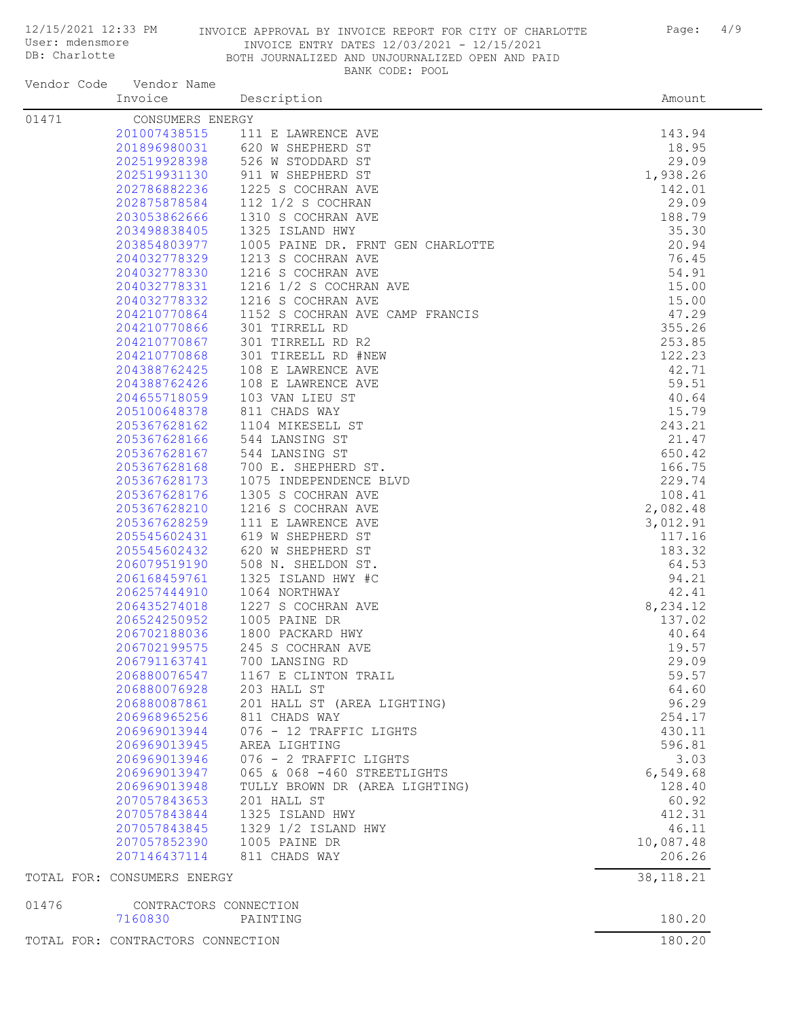User: mdensmore DB: Charlotte

## 12/15/2021 12:33 PM INVOICE APPROVAL BY INVOICE REPORT FOR CITY OF CHARLOTTE Page: 4/9 INVOICE ENTRY DATES 12/03/2021 - 12/15/2021 BOTH JOURNALIZED AND UNJOURNALIZED OPEN AND PAID BANK CODE: POOL

| Vendor Code | Vendor Name<br>Invoice            |                                                                 |                  |
|-------------|-----------------------------------|-----------------------------------------------------------------|------------------|
|             |                                   | Description                                                     | Amount           |
| 01471       | CONSUMERS ENERGY                  |                                                                 |                  |
|             | 201007438515                      | 111 E LAWRENCE AVE<br>201896980031 620 W SHEPHERD ST            | 143.94<br>18.95  |
|             |                                   | 202519928398 526 W STODDARD ST                                  | 29.09            |
|             | 202519931130                      | 911 W SHEPHERD ST                                               | 1,938.26         |
|             | 202786882236                      | 1225 S COCHRAN AVE                                              | 142.01           |
|             | 202875878584                      | 112 1/2 S COCHRAN                                               | 29.09            |
|             | 203053862666                      | 1310 S COCHRAN AVE                                              | 188.79           |
|             | 203498838405                      | 1325 ISLAND HWY                                                 | 35.30            |
|             | 203854803977                      | 1005 PAINE DR. FRNT GEN CHARLOTTE                               | 20.94            |
|             |                                   |                                                                 | 76.45            |
|             |                                   | 204032778329 1213 S COCHRAN AVE 204032778330 1216 S COCHRAN AVE | 54.91            |
|             | 204032778331                      | 1216 1/2 S COCHRAN AVE                                          | 15.00            |
|             | 204032778332                      | 1216 S COCHRAN AVE                                              | 15.00            |
|             | 204210770864                      | 1152 S COCHRAN AVE CAMP FRANCIS                                 | 47.29            |
|             | 204210770866                      | 301 TIRRELL RD                                                  | 355.26           |
|             | 204210770867                      | 301 TIRRELL RD R2                                               | 253.85           |
|             | 204210770868                      | 301 TIREELL RD #NEW                                             | 122.23           |
|             | 204388762425                      | 108 E LAWRENCE AVE                                              | 42.71            |
|             | 204388762426                      | 108 E LAWRENCE AVE                                              | 59.51            |
|             | 204655718059                      | 103 VAN LIEU ST                                                 | 40.64            |
|             | 205100648378                      | 811 CHADS WAY                                                   | 15.79            |
|             | 205367628162                      | 1104 MIKESELL ST                                                | 243.21           |
|             | 205367628166                      | 544 LANSING ST                                                  | 21.47            |
|             | 205367628167<br>205367628168      | 544 LANSING ST<br>700 E. SHEPHERD ST.                           | 650.42<br>166.75 |
|             | 205367628173                      | 1075 INDEPENDENCE BLVD                                          | 229.74           |
|             | 205367628176                      | 1305 S COCHRAN AVE                                              | 108.41           |
|             | 205367628210                      | 1216 S COCHRAN AVE                                              | 2,082.48         |
|             | 205367628259                      | 111 E LAWRENCE AVE                                              | 3,012.91         |
|             | 205545602431                      | 619 W SHEPHERD ST                                               | 117.16           |
|             | 205545602432                      | 620 W SHEPHERD ST                                               | 183.32           |
|             | 206079519190                      | 508 N. SHELDON ST.                                              | 64.53            |
|             | 206168459761                      | 1325 ISLAND HWY #C                                              | 94.21            |
|             | 206257444910                      | 1064 NORTHWAY                                                   | 42.41            |
|             | 206435274018                      | 1227 S COCHRAN AVE                                              | 8,234.12         |
|             | 206524250952                      | 1005 PAINE DR                                                   | 137.02           |
|             | 206702188036                      | 1800 PACKARD HWY                                                | 40.64            |
|             | 206702199575                      | 245 S COCHRAN AVE                                               | 19.57            |
|             | 206791163741                      | 700 LANSING RD                                                  | 29.09            |
|             |                                   | 206880076547 1167 E CLINTON TRAIL                               | 59.57            |
|             | 206880076928                      | 203 HALL ST                                                     | 64.60            |
|             | 206880087861                      | 201 HALL ST (AREA LIGHTING)                                     | 96.29            |
|             | 206968965256                      | 811 CHADS WAY                                                   | 254.17           |
|             | 206969013944                      | 076 - 12 TRAFFIC LIGHTS                                         | 430.11           |
|             | 206969013945<br>206969013946      | AREA LIGHTING<br>076 - 2 TRAFFIC LIGHTS                         | 596.81<br>3.03   |
|             | 206969013947                      | 065 & 068 -460 STREETLIGHTS                                     | 6,549.68         |
|             | 206969013948                      | TULLY BROWN DR (AREA LIGHTING)                                  | 128.40           |
|             | 207057843653                      | 201 HALL ST                                                     | 60.92            |
|             | 207057843844                      | 1325 ISLAND HWY                                                 | 412.31           |
|             | 207057843845                      | 1329 1/2 ISLAND HWY                                             | 46.11            |
|             | 207057852390                      | 1005 PAINE DR                                                   | 10,087.48        |
|             | 207146437114                      | 811 CHADS WAY                                                   | 206.26           |
|             | TOTAL FOR: CONSUMERS ENERGY       |                                                                 | 38, 118.21       |
| 01476       | CONTRACTORS CONNECTION            |                                                                 |                  |
|             | 7160830                           | PAINTING                                                        | 180.20<br>180.20 |
|             | TOTAL FOR: CONTRACTORS CONNECTION |                                                                 |                  |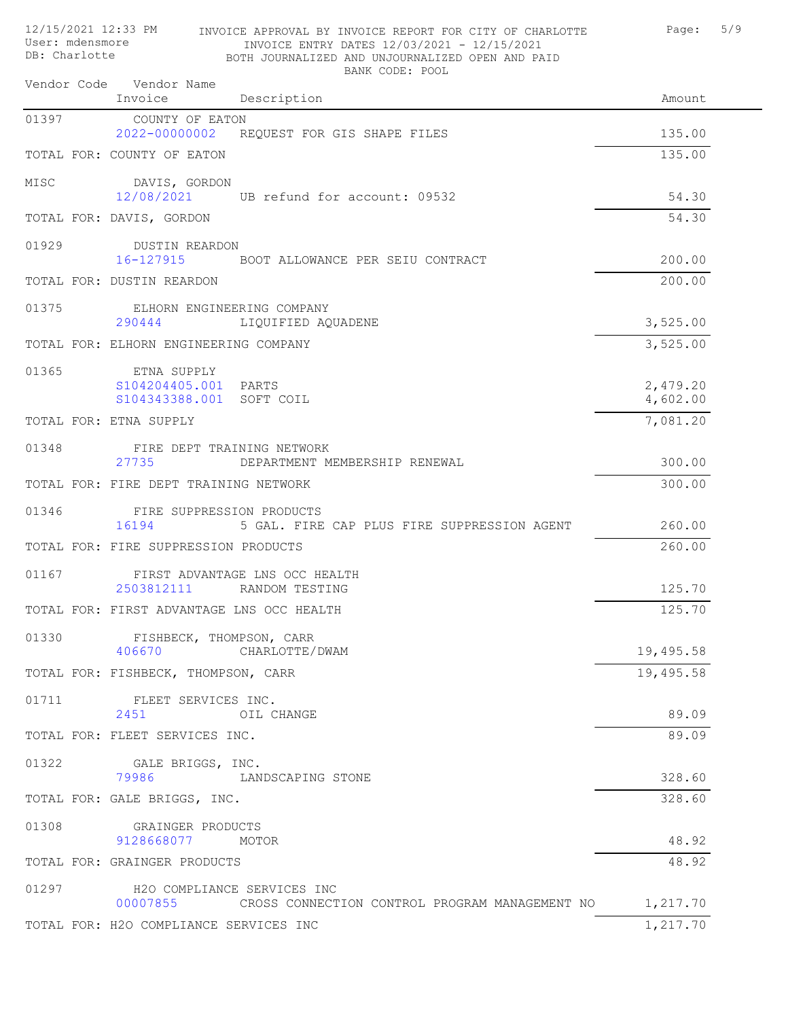| 12/15/2021 12:33 PM<br>User: mdensmore<br>DB: Charlotte | INVOICE APPROVAL BY INVOICE REPORT FOR CITY OF CHARLOTTE<br>INVOICE ENTRY DATES 12/03/2021 - 12/15/2021<br>BOTH JOURNALIZED AND UNJOURNALIZED OPEN AND PAID<br>BANK CODE: POOL | Page:                | 5/9 |
|---------------------------------------------------------|--------------------------------------------------------------------------------------------------------------------------------------------------------------------------------|----------------------|-----|
|                                                         | Vendor Code Vendor Name<br>Invoice<br>Description                                                                                                                              | Amount               |     |
| 01397                                                   | COUNTY OF EATON<br>2022-00000002<br>REQUEST FOR GIS SHAPE FILES                                                                                                                | 135.00               |     |
|                                                         | TOTAL FOR: COUNTY OF EATON                                                                                                                                                     | 135.00               |     |
| MISC                                                    | DAVIS, GORDON<br>12/08/2021<br>UB refund for account: 09532                                                                                                                    | 54.30                |     |
|                                                         | TOTAL FOR: DAVIS, GORDON                                                                                                                                                       | 54.30                |     |
| 01929                                                   | DUSTIN REARDON<br>16-127915<br>BOOT ALLOWANCE PER SEIU CONTRACT                                                                                                                | 200.00               |     |
|                                                         | TOTAL FOR: DUSTIN REARDON                                                                                                                                                      | 200.00               |     |
| 01375                                                   | ELHORN ENGINEERING COMPANY<br>290444<br>LIQUIFIED AQUADENE                                                                                                                     | 3,525.00             |     |
|                                                         | TOTAL FOR: ELHORN ENGINEERING COMPANY                                                                                                                                          | 3,525.00             |     |
| 01365                                                   | ETNA SUPPLY<br>S104204405.001 PARTS<br>S104343388.001<br>SOFT COIL                                                                                                             | 2,479.20<br>4,602.00 |     |
|                                                         | TOTAL FOR: ETNA SUPPLY                                                                                                                                                         | 7,081.20             |     |
| 01348                                                   | FIRE DEPT TRAINING NETWORK<br>27735<br>DEPARTMENT MEMBERSHIP RENEWAL                                                                                                           | 300.00               |     |
|                                                         | TOTAL FOR: FIRE DEPT TRAINING NETWORK                                                                                                                                          | 300.00               |     |
| 01346                                                   | FIRE SUPPRESSION PRODUCTS<br>16194<br>5 GAL. FIRE CAP PLUS FIRE SUPPRESSION AGENT                                                                                              | 260.00               |     |
|                                                         | TOTAL FOR: FIRE SUPPRESSION PRODUCTS                                                                                                                                           | 260.00               |     |
| 01167                                                   | FIRST ADVANTAGE LNS OCC HEALTH<br>2503812111<br>RANDOM TESTING                                                                                                                 | 125.70               |     |
|                                                         | TOTAL FOR: FIRST ADVANTAGE LNS OCC HEALTH                                                                                                                                      | 125.70               |     |
| 01330                                                   | FISHBECK, THOMPSON, CARR<br>406670<br>CHARLOTTE/DWAM                                                                                                                           | 19,495.58            |     |
|                                                         | TOTAL FOR: FISHBECK, THOMPSON, CARR                                                                                                                                            | 19,495.58            |     |
| 01711                                                   | FLEET SERVICES INC.<br>2451<br>OIL CHANGE                                                                                                                                      | 89.09                |     |
|                                                         | TOTAL FOR: FLEET SERVICES INC.                                                                                                                                                 | 89.09                |     |
| 01322                                                   | GALE BRIGGS, INC.<br>79986<br>LANDSCAPING STONE                                                                                                                                | 328.60               |     |
|                                                         | TOTAL FOR: GALE BRIGGS, INC.                                                                                                                                                   | 328.60               |     |
| 01308                                                   | GRAINGER PRODUCTS<br>9128668077<br>MOTOR                                                                                                                                       | 48.92                |     |
|                                                         | TOTAL FOR: GRAINGER PRODUCTS                                                                                                                                                   | 48.92                |     |
| 01297                                                   | H2O COMPLIANCE SERVICES INC<br>00007855<br>CROSS CONNECTION CONTROL PROGRAM MANAGEMENT NO                                                                                      | 1,217.70             |     |
|                                                         | TOTAL FOR: H2O COMPLIANCE SERVICES INC                                                                                                                                         | 1,217.70             |     |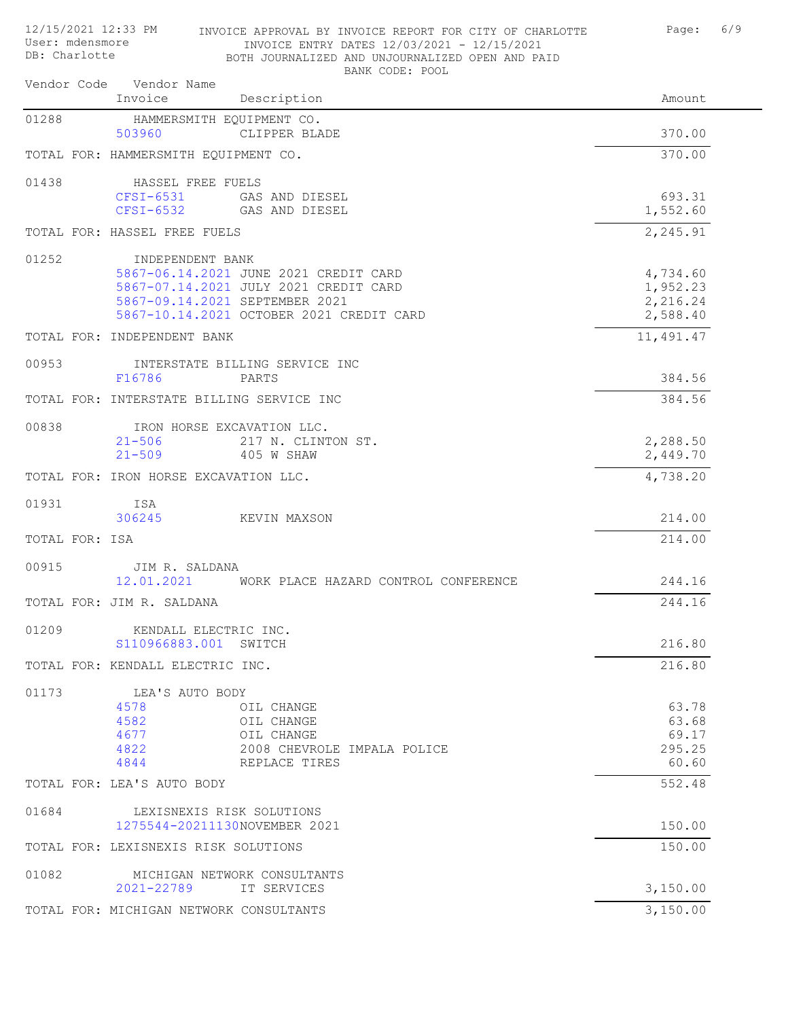| APAT. MAGUSMATE<br>DB: Charlotte |                                           | INVOICE ENTRY DATES 12/03/2021 - 12/15/2021<br>BOTH JOURNALIZED AND UNJOURNALIZED OPEN AND PAID |                      |
|----------------------------------|-------------------------------------------|-------------------------------------------------------------------------------------------------|----------------------|
|                                  | Vendor Code Vendor Name<br>Invoice        | BANK CODE: POOL<br>Description                                                                  | Amount               |
|                                  |                                           |                                                                                                 |                      |
| 01288                            | HAMMERSMITH EOUIPMENT CO.<br>503960       | CLIPPER BLADE                                                                                   | 370.00               |
|                                  | TOTAL FOR: HAMMERSMITH EQUIPMENT CO.      |                                                                                                 | 370.00               |
| 01438                            | HASSEL FREE FUELS                         |                                                                                                 |                      |
|                                  | $CFSI-6531$                               | GAS AND DIESEL                                                                                  | 693.31               |
|                                  | $CFSI-6532$                               | GAS AND DIESEL                                                                                  | 1,552.60             |
|                                  | TOTAL FOR: HASSEL FREE FUELS              |                                                                                                 | 2,245.91             |
| 01252                            | INDEPENDENT BANK                          |                                                                                                 |                      |
|                                  |                                           | 5867-06.14.2021 JUNE 2021 CREDIT CARD                                                           | 4,734.60             |
|                                  |                                           | 5867-07.14.2021 JULY 2021 CREDIT CARD                                                           | 1,952.23             |
|                                  |                                           | 5867-09.14.2021 SEPTEMBER 2021<br>5867-10.14.2021 OCTOBER 2021 CREDIT CARD                      | 2,216.24<br>2,588.40 |
|                                  | TOTAL FOR: INDEPENDENT BANK               |                                                                                                 | 11,491.47            |
| 00953                            |                                           | INTERSTATE BILLING SERVICE INC                                                                  |                      |
|                                  | F16786                                    | PARTS                                                                                           | 384.56               |
|                                  | TOTAL FOR: INTERSTATE BILLING SERVICE INC |                                                                                                 | 384.56               |
| 00838                            | IRON HORSE EXCAVATION LLC.                |                                                                                                 |                      |
|                                  | $21 - 506$                                | 217 N. CLINTON ST.                                                                              | 2,288.50             |
|                                  | $21 - 509$                                | 405 W SHAW                                                                                      | 2,449.70             |
|                                  | TOTAL FOR: IRON HORSE EXCAVATION LLC.     |                                                                                                 | 4,738.20             |
| 01931                            | ISA                                       |                                                                                                 |                      |
|                                  | 306245                                    | KEVIN MAXSON                                                                                    | 214.00               |
| TOTAL FOR: ISA                   |                                           |                                                                                                 | 214.00               |
| 00915                            | JIM R. SALDANA                            |                                                                                                 |                      |
|                                  |                                           | 12.01.2021 WORK PLACE HAZARD CONTROL CONFERENCE                                                 | 244.16               |
|                                  | TOTAL FOR: JIM R. SALDANA                 |                                                                                                 | 244.16               |
| 01209                            | KENDALL ELECTRIC INC.                     |                                                                                                 |                      |
|                                  | S110966883.001 SWITCH                     |                                                                                                 | 216.80               |
|                                  | TOTAL FOR: KENDALL ELECTRIC INC.          |                                                                                                 | 216.80               |
| 01173                            | LEA'S AUTO BODY                           |                                                                                                 |                      |
|                                  | 4578                                      | OIL CHANGE                                                                                      | 63.78                |
|                                  | 4582<br>4677                              | OIL CHANGE<br>OIL CHANGE                                                                        | 63.68<br>69.17       |
|                                  | 4822                                      | 2008 CHEVROLE IMPALA POLICE                                                                     | 295.25               |
|                                  | 4844                                      | REPLACE TIRES                                                                                   | 60.60                |
|                                  | TOTAL FOR: LEA'S AUTO BODY                |                                                                                                 | 552.48               |
| 01684                            | LEXISNEXIS RISK SOLUTIONS                 |                                                                                                 |                      |
|                                  | 1275544-20211130NOVEMBER 2021             |                                                                                                 | 150.00               |
|                                  | TOTAL FOR: LEXISNEXIS RISK SOLUTIONS      |                                                                                                 | 150.00               |
| 01082                            |                                           | MICHIGAN NETWORK CONSULTANTS                                                                    |                      |
|                                  | 2021-22789                                | IT SERVICES                                                                                     | 3,150.00             |
|                                  | TOTAL FOR: MICHIGAN NETWORK CONSULTANTS   |                                                                                                 | 3,150.00             |

12/15/2021 12:33 PM INVOICE APPROVAL BY INVOICE REPORT FOR CITY OF CHARLOTTE Page: 6/9 User: mdensmore INVOICE ENTRY DATES 12/03/2021 - 12/15/2021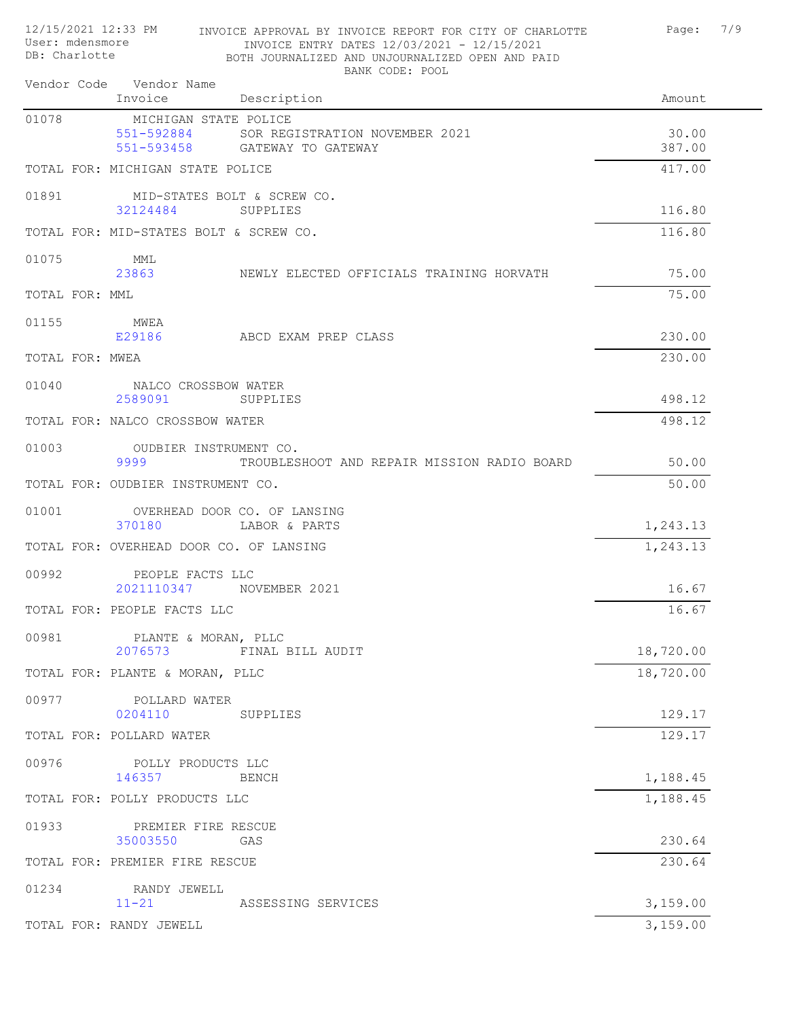| 12/15/2021 12:33 PM<br>User: mdensmore<br>DB: Charlotte |  |                                                   | INVOICE APPROVAL BY INVOICE REPORT FOR CITY OF CHARLOTTE<br>INVOICE ENTRY DATES 12/03/2021 - 12/15/2021<br>BOTH JOURNALIZED AND UNJOURNALIZED OPEN AND PAID<br>BANK CODE: POOL | 7/9<br>Page:    |
|---------------------------------------------------------|--|---------------------------------------------------|--------------------------------------------------------------------------------------------------------------------------------------------------------------------------------|-----------------|
|                                                         |  | Vendor Code Vendor Name<br>Invoice                | Description                                                                                                                                                                    | Amount          |
| 01078                                                   |  | MICHIGAN STATE POLICE<br>551-592884<br>551-593458 | SOR REGISTRATION NOVEMBER 2021<br>GATEWAY TO GATEWAY                                                                                                                           | 30.00<br>387.00 |
|                                                         |  | TOTAL FOR: MICHIGAN STATE POLICE                  |                                                                                                                                                                                | 417.00          |
| 01891                                                   |  | 32124484                                          | MID-STATES BOLT & SCREW CO.<br>SUPPLIES                                                                                                                                        | 116.80          |
|                                                         |  | TOTAL FOR: MID-STATES BOLT & SCREW CO.            |                                                                                                                                                                                | 116.80          |
| 01075                                                   |  | MML<br>23863                                      | NEWLY ELECTED OFFICIALS TRAINING HORVATH                                                                                                                                       | 75.00           |
| TOTAL FOR: MML                                          |  |                                                   |                                                                                                                                                                                | 75.00           |
| 01155                                                   |  | MWEA<br>E29186                                    | ABCD EXAM PREP CLASS                                                                                                                                                           | 230.00          |
| TOTAL FOR: MWEA                                         |  |                                                   |                                                                                                                                                                                | 230.00          |
| 01040                                                   |  | NALCO CROSSBOW WATER<br>2589091                   | SUPPLIES                                                                                                                                                                       | 498.12          |
|                                                         |  | TOTAL FOR: NALCO CROSSBOW WATER                   |                                                                                                                                                                                | 498.12          |
| 01003                                                   |  | OUDBIER INSTRUMENT CO.<br>9999                    | TROUBLESHOOT AND REPAIR MISSION RADIO BOARD                                                                                                                                    | 50.00           |
|                                                         |  | TOTAL FOR: OUDBIER INSTRUMENT CO.                 |                                                                                                                                                                                | 50.00           |
| 01001                                                   |  | 370180                                            | OVERHEAD DOOR CO. OF LANSING<br>LABOR & PARTS                                                                                                                                  | 1,243.13        |
|                                                         |  | TOTAL FOR: OVERHEAD DOOR CO. OF LANSING           |                                                                                                                                                                                | 1,243.13        |
| 00992                                                   |  | PEOPLE FACTS LLC<br>2021110347                    | NOVEMBER 2021                                                                                                                                                                  | 16.67           |
|                                                         |  | TOTAL FOR: PEOPLE FACTS LLC                       |                                                                                                                                                                                | 16.67           |
| 00981                                                   |  | PLANTE & MORAN, PLLC<br>2076573                   | FINAL BILL AUDIT                                                                                                                                                               | 18,720.00       |
|                                                         |  | TOTAL FOR: PLANTE & MORAN, PLLC                   |                                                                                                                                                                                | 18,720.00       |
| 00977                                                   |  | POLLARD WATER<br>0204110                          | SUPPLIES                                                                                                                                                                       | 129.17          |
|                                                         |  | TOTAL FOR: POLLARD WATER                          |                                                                                                                                                                                | 129.17          |
| 00976                                                   |  | POLLY PRODUCTS LLC<br>146357                      | BENCH                                                                                                                                                                          | 1,188.45        |
|                                                         |  | TOTAL FOR: POLLY PRODUCTS LLC                     |                                                                                                                                                                                | 1,188.45        |
| 01933                                                   |  | PREMIER FIRE RESCUE<br>35003550                   | GAS                                                                                                                                                                            | 230.64          |
|                                                         |  | TOTAL FOR: PREMIER FIRE RESCUE                    |                                                                                                                                                                                | 230.64          |
| 01234                                                   |  | RANDY JEWELL<br>$11 - 21$                         | ASSESSING SERVICES                                                                                                                                                             | 3,159.00        |
|                                                         |  | TOTAL FOR: RANDY JEWELL                           |                                                                                                                                                                                | 3,159.00        |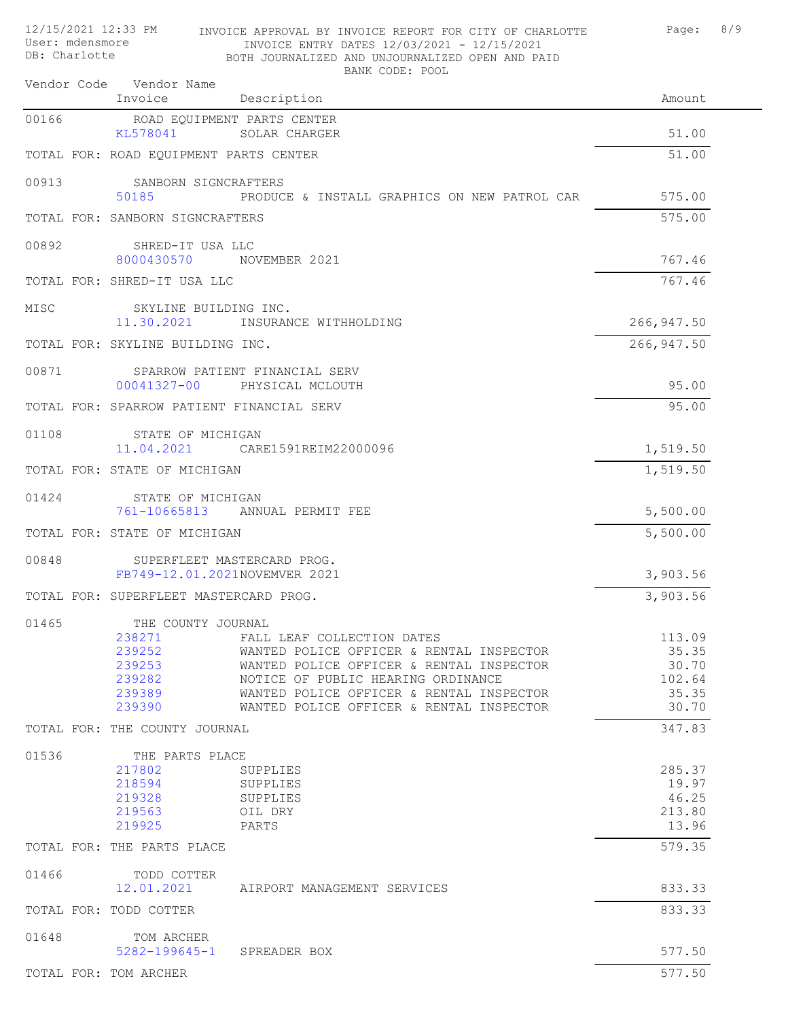| 12/15/2021 12:33 PM<br>User: mdensmore<br>DB: Charlotte |                                                                                | INVOICE APPROVAL BY INVOICE REPORT FOR CITY OF CHARLOTTE<br>INVOICE ENTRY DATES 12/03/2021 - 12/15/2021<br>BOTH JOURNALIZED AND UNJOURNALIZED OPEN AND PAID                                                                                      | Page:                                                | 8/9 |
|---------------------------------------------------------|--------------------------------------------------------------------------------|--------------------------------------------------------------------------------------------------------------------------------------------------------------------------------------------------------------------------------------------------|------------------------------------------------------|-----|
|                                                         | Vendor Code Vendor Name<br>Invoice                                             | BANK CODE: POOL<br>Description                                                                                                                                                                                                                   | Amount                                               |     |
| 00166                                                   | ROAD EQUIPMENT PARTS CENTER                                                    |                                                                                                                                                                                                                                                  |                                                      |     |
|                                                         | KL578041                                                                       | SOLAR CHARGER                                                                                                                                                                                                                                    | 51.00                                                |     |
|                                                         | TOTAL FOR: ROAD EQUIPMENT PARTS CENTER                                         |                                                                                                                                                                                                                                                  | 51.00                                                |     |
| 00913                                                   | SANBORN SIGNCRAFTERS<br>50185                                                  | PRODUCE & INSTALL GRAPHICS ON NEW PATROL CAR                                                                                                                                                                                                     | 575.00                                               |     |
|                                                         | TOTAL FOR: SANBORN SIGNCRAFTERS                                                |                                                                                                                                                                                                                                                  | 575.00                                               |     |
| 00892                                                   | SHRED-IT USA LLC<br>8000430570                                                 | NOVEMBER 2021                                                                                                                                                                                                                                    | 767.46                                               |     |
|                                                         | TOTAL FOR: SHRED-IT USA LLC                                                    |                                                                                                                                                                                                                                                  | 767.46                                               |     |
| MISC                                                    | SKYLINE BUILDING INC.<br>11.30.2021                                            | INSURANCE WITHHOLDING                                                                                                                                                                                                                            | 266, 947.50                                          |     |
|                                                         | TOTAL FOR: SKYLINE BUILDING INC.                                               |                                                                                                                                                                                                                                                  | 266, 947.50                                          |     |
| 00871                                                   | 00041327-00                                                                    | SPARROW PATIENT FINANCIAL SERV<br>PHYSICAL MCLOUTH                                                                                                                                                                                               | 95.00                                                |     |
|                                                         | TOTAL FOR: SPARROW PATIENT FINANCIAL SERV                                      |                                                                                                                                                                                                                                                  | 95.00                                                |     |
| 01108                                                   | STATE OF MICHIGAN<br>11.04.2021                                                | CARE1591REIM22000096                                                                                                                                                                                                                             | 1,519.50                                             |     |
|                                                         | TOTAL FOR: STATE OF MICHIGAN                                                   |                                                                                                                                                                                                                                                  | 1,519.50                                             |     |
| 01424                                                   | STATE OF MICHIGAN                                                              |                                                                                                                                                                                                                                                  |                                                      |     |
|                                                         | 761-10665813                                                                   | ANNUAL PERMIT FEE                                                                                                                                                                                                                                | 5,500.00                                             |     |
|                                                         | TOTAL FOR: STATE OF MICHIGAN                                                   |                                                                                                                                                                                                                                                  | 5,500.00                                             |     |
| 00848                                                   | FB749-12.01.2021NOVEMVER 2021                                                  | SUPERFLEET MASTERCARD PROG.                                                                                                                                                                                                                      | 3,903.56                                             |     |
|                                                         | TOTAL FOR: SUPERFLEET MASTERCARD PROG.                                         |                                                                                                                                                                                                                                                  | 3,903.56                                             |     |
| 01465                                                   | THE COUNTY JOURNAL<br>238271<br>239252<br>239253<br>239282<br>239389<br>239390 | FALL LEAF COLLECTION DATES<br>WANTED POLICE OFFICER & RENTAL INSPECTOR<br>WANTED POLICE OFFICER & RENTAL INSPECTOR<br>NOTICE OF PUBLIC HEARING ORDINANCE<br>WANTED POLICE OFFICER & RENTAL INSPECTOR<br>WANTED POLICE OFFICER & RENTAL INSPECTOR | 113.09<br>35.35<br>30.70<br>102.64<br>35.35<br>30.70 |     |
|                                                         | TOTAL FOR: THE COUNTY JOURNAL                                                  |                                                                                                                                                                                                                                                  | 347.83                                               |     |
| 01536                                                   | THE PARTS PLACE<br>217802<br>218594<br>219328<br>219563<br>219925              | SUPPLIES<br>SUPPLIES<br>SUPPLIES<br>OIL DRY<br>PARTS                                                                                                                                                                                             | 285.37<br>19.97<br>46.25<br>213.80<br>13.96          |     |
|                                                         | TOTAL FOR: THE PARTS PLACE                                                     |                                                                                                                                                                                                                                                  | 579.35                                               |     |
| 01466                                                   | TODD COTTER<br>12.01.2021                                                      | AIRPORT MANAGEMENT SERVICES                                                                                                                                                                                                                      | 833.33                                               |     |
|                                                         | TOTAL FOR: TODD COTTER                                                         |                                                                                                                                                                                                                                                  | 833.33                                               |     |
| 01648                                                   | TOM ARCHER<br>$5282 - 199645 - 1$                                              | SPREADER BOX                                                                                                                                                                                                                                     | 577.50                                               |     |
|                                                         | TOTAL FOR: TOM ARCHER                                                          |                                                                                                                                                                                                                                                  | 577.50                                               |     |